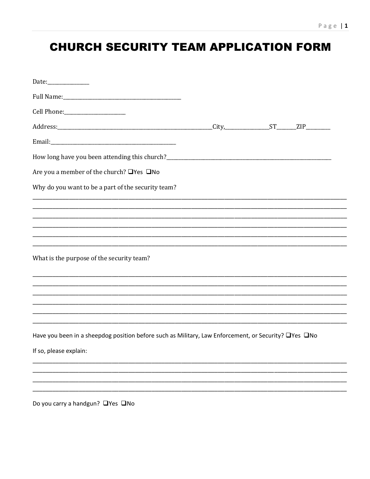## **CHURCH SECURITY TEAM APPLICATION FORM**

| Are you a member of the church? □Yes □No                                                             |  |  |
|------------------------------------------------------------------------------------------------------|--|--|
| Why do you want to be a part of the security team?                                                   |  |  |
| <u> 1989 - Johann Stoff, amerikansk politiker (d. 1989)</u>                                          |  |  |
|                                                                                                      |  |  |
|                                                                                                      |  |  |
| What is the purpose of the security team?                                                            |  |  |
|                                                                                                      |  |  |
|                                                                                                      |  |  |
|                                                                                                      |  |  |
|                                                                                                      |  |  |
| Have you been in a sheepdog position before such as Military, Law Enforcement, or Security? UYes UNo |  |  |
| If so, please explain:                                                                               |  |  |
|                                                                                                      |  |  |
|                                                                                                      |  |  |
|                                                                                                      |  |  |

Do you carry a handgun? □ Yes □ No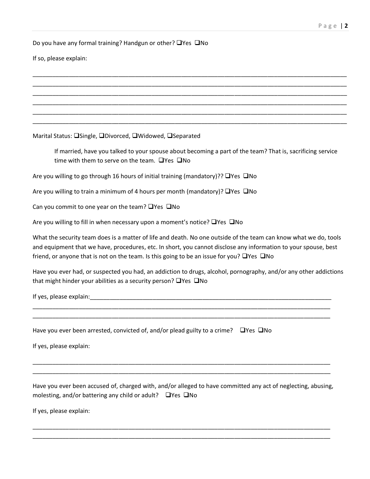Do you have any formal training? Handgun or other?  $\Box$  Yes  $\Box$  No

If so, please explain:

Marital Status: OSingle, ODivorced, OWidowed, OSeparated

If married, have you talked to your spouse about becoming a part of the team? That is, sacrificing service time with them to serve on the team.  $\Box$  Yes  $\Box$  No

\_\_\_\_\_\_\_\_\_\_\_\_\_\_\_\_\_\_\_\_\_\_\_\_\_\_\_\_\_\_\_\_\_\_\_\_\_\_\_\_\_\_\_\_\_\_\_\_\_\_\_\_\_\_\_\_\_\_\_\_\_\_\_\_\_\_\_\_\_\_\_\_\_\_\_\_\_\_\_\_\_\_\_\_\_\_\_\_\_\_\_\_\_\_\_ \_\_\_\_\_\_\_\_\_\_\_\_\_\_\_\_\_\_\_\_\_\_\_\_\_\_\_\_\_\_\_\_\_\_\_\_\_\_\_\_\_\_\_\_\_\_\_\_\_\_\_\_\_\_\_\_\_\_\_\_\_\_\_\_\_\_\_\_\_\_\_\_\_\_\_\_\_\_\_\_\_\_\_\_\_\_\_\_\_\_\_\_\_\_\_ \_\_\_\_\_\_\_\_\_\_\_\_\_\_\_\_\_\_\_\_\_\_\_\_\_\_\_\_\_\_\_\_\_\_\_\_\_\_\_\_\_\_\_\_\_\_\_\_\_\_\_\_\_\_\_\_\_\_\_\_\_\_\_\_\_\_\_\_\_\_\_\_\_\_\_\_\_\_\_\_\_\_\_\_\_\_\_\_\_\_\_\_\_\_\_ \_\_\_\_\_\_\_\_\_\_\_\_\_\_\_\_\_\_\_\_\_\_\_\_\_\_\_\_\_\_\_\_\_\_\_\_\_\_\_\_\_\_\_\_\_\_\_\_\_\_\_\_\_\_\_\_\_\_\_\_\_\_\_\_\_\_\_\_\_\_\_\_\_\_\_\_\_\_\_\_\_\_\_\_\_\_\_\_\_\_\_\_\_\_\_ \_\_\_\_\_\_\_\_\_\_\_\_\_\_\_\_\_\_\_\_\_\_\_\_\_\_\_\_\_\_\_\_\_\_\_\_\_\_\_\_\_\_\_\_\_\_\_\_\_\_\_\_\_\_\_\_\_\_\_\_\_\_\_\_\_\_\_\_\_\_\_\_\_\_\_\_\_\_\_\_\_\_\_\_\_\_\_\_\_\_\_\_\_\_\_ \_\_\_\_\_\_\_\_\_\_\_\_\_\_\_\_\_\_\_\_\_\_\_\_\_\_\_\_\_\_\_\_\_\_\_\_\_\_\_\_\_\_\_\_\_\_\_\_\_\_\_\_\_\_\_\_\_\_\_\_\_\_\_\_\_\_\_\_\_\_\_\_\_\_\_\_\_\_\_\_\_\_\_\_\_\_\_\_\_\_\_\_\_\_\_

Are you willing to go through 16 hours of initial training (mandatory)??  $\Box$ Yes  $\Box$ No

Are you willing to train a minimum of 4 hours per month (mandatory)?  $\Box$  Yes  $\Box$  No

Can you commit to one year on the team?  $\Box$  Yes  $\Box$  No

Are you willing to fill in when necessary upon a moment's notice?  $\Box$  Yes  $\Box$  No

What the security team does is a matter of life and death. No one outside of the team can know what we do, tools and equipment that we have, procedures, etc. In short, you cannot disclose any information to your spouse, best friend, or anyone that is not on the team. Is this going to be an issue for you?  $\Box$  Yes  $\Box$  No

Have you ever had, or suspected you had, an addiction to drugs, alcohol, pornography, and/or any other addictions that might hinder your abilities as a security person?  $\Box$  Yes  $\Box$  No

\_\_\_\_\_\_\_\_\_\_\_\_\_\_\_\_\_\_\_\_\_\_\_\_\_\_\_\_\_\_\_\_\_\_\_\_\_\_\_\_\_\_\_\_\_\_\_\_\_\_\_\_\_\_\_\_\_\_\_\_\_\_\_\_\_\_\_\_\_\_\_\_\_\_\_\_\_\_\_\_\_\_\_\_\_\_\_\_\_\_ \_\_\_\_\_\_\_\_\_\_\_\_\_\_\_\_\_\_\_\_\_\_\_\_\_\_\_\_\_\_\_\_\_\_\_\_\_\_\_\_\_\_\_\_\_\_\_\_\_\_\_\_\_\_\_\_\_\_\_\_\_\_\_\_\_\_\_\_\_\_\_\_\_\_\_\_\_\_\_\_\_\_\_\_\_\_\_\_\_\_

If yes, please explain: The state of the state of the state of the state of the state of the state of the state of the state of the state of the state of the state of the state of the state of the state of the state of the

Have you ever been arrested, convicted of, and/or plead guilty to a crime?  $\Box$ Yes  $\Box$ No

If yes, please explain:

Have you ever been accused of, charged with, and/or alleged to have committed any act of neglecting, abusing, molesting, and/or battering any child or adult?  $\Box$  Yes  $\Box$  No

\_\_\_\_\_\_\_\_\_\_\_\_\_\_\_\_\_\_\_\_\_\_\_\_\_\_\_\_\_\_\_\_\_\_\_\_\_\_\_\_\_\_\_\_\_\_\_\_\_\_\_\_\_\_\_\_\_\_\_\_\_\_\_\_\_\_\_\_\_\_\_\_\_\_\_\_\_\_\_\_\_\_\_\_\_\_\_\_\_\_ \_\_\_\_\_\_\_\_\_\_\_\_\_\_\_\_\_\_\_\_\_\_\_\_\_\_\_\_\_\_\_\_\_\_\_\_\_\_\_\_\_\_\_\_\_\_\_\_\_\_\_\_\_\_\_\_\_\_\_\_\_\_\_\_\_\_\_\_\_\_\_\_\_\_\_\_\_\_\_\_\_\_\_\_\_\_\_\_\_\_

\_\_\_\_\_\_\_\_\_\_\_\_\_\_\_\_\_\_\_\_\_\_\_\_\_\_\_\_\_\_\_\_\_\_\_\_\_\_\_\_\_\_\_\_\_\_\_\_\_\_\_\_\_\_\_\_\_\_\_\_\_\_\_\_\_\_\_\_\_\_\_\_\_\_\_\_\_\_\_\_\_\_\_\_\_\_\_\_\_\_ \_\_\_\_\_\_\_\_\_\_\_\_\_\_\_\_\_\_\_\_\_\_\_\_\_\_\_\_\_\_\_\_\_\_\_\_\_\_\_\_\_\_\_\_\_\_\_\_\_\_\_\_\_\_\_\_\_\_\_\_\_\_\_\_\_\_\_\_\_\_\_\_\_\_\_\_\_\_\_\_\_\_\_\_\_\_\_\_\_\_

If yes, please explain: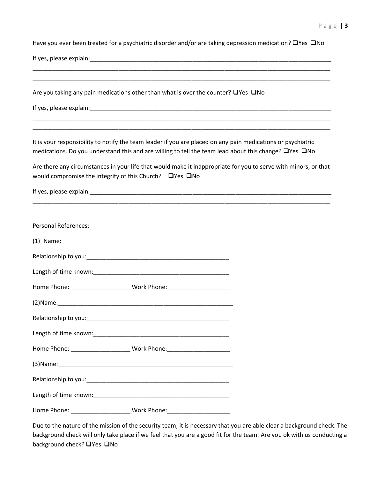Have you ever been treated for a psychiatric disorder and/or are taking depression medication?  $\Box$ Yes  $\Box$ No

\_\_\_\_\_\_\_\_\_\_\_\_\_\_\_\_\_\_\_\_\_\_\_\_\_\_\_\_\_\_\_\_\_\_\_\_\_\_\_\_\_\_\_\_\_\_\_\_\_\_\_\_\_\_\_\_\_\_\_\_\_\_\_\_\_\_\_\_\_\_\_\_\_\_\_\_\_\_\_\_\_\_\_\_\_\_\_\_\_\_ \_\_\_\_\_\_\_\_\_\_\_\_\_\_\_\_\_\_\_\_\_\_\_\_\_\_\_\_\_\_\_\_\_\_\_\_\_\_\_\_\_\_\_\_\_\_\_\_\_\_\_\_\_\_\_\_\_\_\_\_\_\_\_\_\_\_\_\_\_\_\_\_\_\_\_\_\_\_\_\_\_\_\_\_\_\_\_\_\_\_

\_\_\_\_\_\_\_\_\_\_\_\_\_\_\_\_\_\_\_\_\_\_\_\_\_\_\_\_\_\_\_\_\_\_\_\_\_\_\_\_\_\_\_\_\_\_\_\_\_\_\_\_\_\_\_\_\_\_\_\_\_\_\_\_\_\_\_\_\_\_\_\_\_\_\_\_\_\_\_\_\_\_\_\_\_\_\_\_\_\_ \_\_\_\_\_\_\_\_\_\_\_\_\_\_\_\_\_\_\_\_\_\_\_\_\_\_\_\_\_\_\_\_\_\_\_\_\_\_\_\_\_\_\_\_\_\_\_\_\_\_\_\_\_\_\_\_\_\_\_\_\_\_\_\_\_\_\_\_\_\_\_\_\_\_\_\_\_\_\_\_\_\_\_\_\_\_\_\_\_\_

If yes, please explain:\_\_\_\_\_\_\_\_\_\_\_\_\_\_\_\_\_\_\_\_\_\_\_\_\_\_\_\_\_\_\_\_\_\_\_\_\_\_\_\_\_\_\_\_\_\_\_\_\_\_\_\_\_\_\_\_\_\_\_\_\_\_\_\_\_\_\_\_\_\_\_\_\_

| Are you taking any pain medications other than what is over the counter? $\Box$ Yes $\Box$ No |  |
|-----------------------------------------------------------------------------------------------|--|
|-----------------------------------------------------------------------------------------------|--|

If yes, please explain:\_\_\_\_\_\_\_\_\_\_\_\_\_\_\_\_\_\_\_\_\_\_\_\_\_\_\_\_\_\_\_\_\_\_\_\_\_\_\_\_\_\_\_\_\_\_\_\_\_\_\_\_\_\_\_\_\_\_\_\_\_\_\_\_\_\_\_\_\_\_\_\_\_

It is your responsibility to notify the team leader if you are placed on any pain medications or psychiatric medications. Do you understand this and are willing to tell the team lead about this change?  $\Box$ Yes  $\Box$ No

Are there any circumstances in your life that would make it inappropriate for you to serve with minors, or that would compromise the integrity of this Church?  $\Box$  Yes  $\Box$  No

\_\_\_\_\_\_\_\_\_\_\_\_\_\_\_\_\_\_\_\_\_\_\_\_\_\_\_\_\_\_\_\_\_\_\_\_\_\_\_\_\_\_\_\_\_\_\_\_\_\_\_\_\_\_\_\_\_\_\_\_\_\_\_\_\_\_\_\_\_\_\_\_\_\_\_\_\_\_\_\_\_\_\_\_\_\_\_\_\_\_

If yes, please explain:\_\_\_\_\_\_\_\_\_\_\_\_\_\_\_\_\_\_\_\_\_\_\_\_\_\_\_\_\_\_\_\_\_\_\_\_\_\_\_\_\_\_\_\_\_\_\_\_\_\_\_\_\_\_\_\_\_\_\_\_\_\_\_\_\_\_\_\_\_\_\_\_\_

| <b>Personal References:</b> |                                                                                  |  |
|-----------------------------|----------------------------------------------------------------------------------|--|
|                             |                                                                                  |  |
|                             |                                                                                  |  |
|                             |                                                                                  |  |
|                             | Home Phone: ___________________________ Work Phone: ____________________________ |  |
|                             |                                                                                  |  |
|                             |                                                                                  |  |
|                             |                                                                                  |  |
|                             | Home Phone: ___________________________ Work Phone: ____________________________ |  |
|                             |                                                                                  |  |
|                             |                                                                                  |  |
|                             |                                                                                  |  |
|                             | Home Phone: ____________________________Work Phone: ____________________________ |  |

Due to the nature of the mission of the security team, it is necessary that you are able clear a background check. The background check will only take place if we feel that you are a good fit for the team. Are you ok with us conducting a background check? **No**